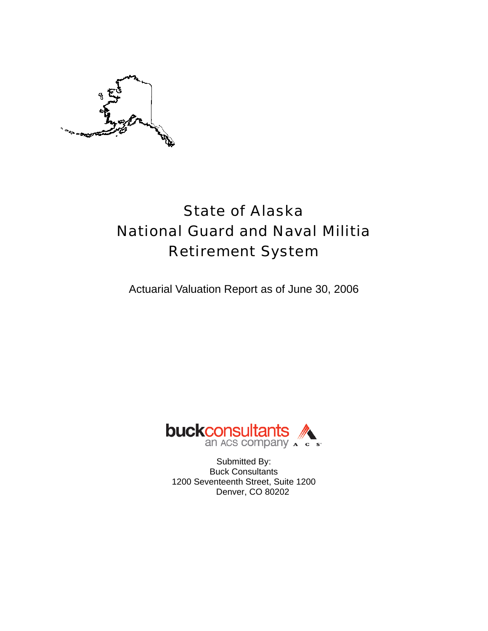

# State of Alaska National Guard and Naval Militia Retirement System

Actuarial Valuation Report as of June 30, 2006



Submitted By: Buck Consultants 1200 Seventeenth Street, Suite 1200 Denver, CO 80202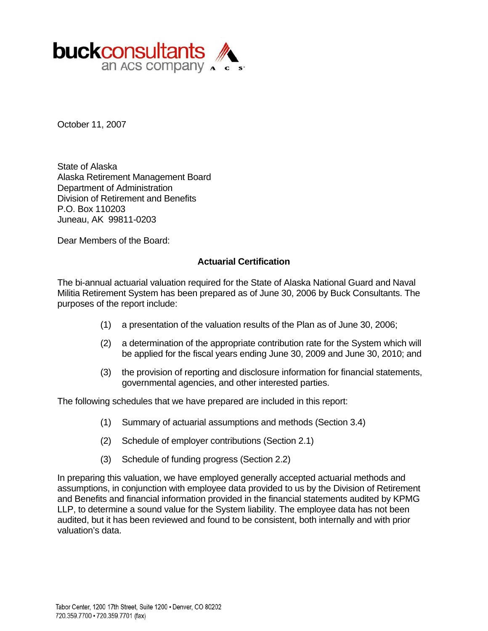

October 11, 2007

State of Alaska Alaska Retirement Management Board Department of Administration Division of Retirement and Benefits P.O. Box 110203 Juneau, AK 99811-0203

Dear Members of the Board:

#### **Actuarial Certification**

The bi-annual actuarial valuation required for the State of Alaska National Guard and Naval Militia Retirement System has been prepared as of June 30, 2006 by Buck Consultants. The purposes of the report include:

- (1) a presentation of the valuation results of the Plan as of June 30, 2006;
- (2) a determination of the appropriate contribution rate for the System which will be applied for the fiscal years ending June 30, 2009 and June 30, 2010; and
- (3) the provision of reporting and disclosure information for financial statements, governmental agencies, and other interested parties.

The following schedules that we have prepared are included in this report:

- (1) Summary of actuarial assumptions and methods (Section 3.4)
- (2) Schedule of employer contributions (Section 2.1)
- (3) Schedule of funding progress (Section 2.2)

In preparing this valuation, we have employed generally accepted actuarial methods and assumptions, in conjunction with employee data provided to us by the Division of Retirement and Benefits and financial information provided in the financial statements audited by KPMG LLP, to determine a sound value for the System liability. The employee data has not been audited, but it has been reviewed and found to be consistent, both internally and with prior valuation's data.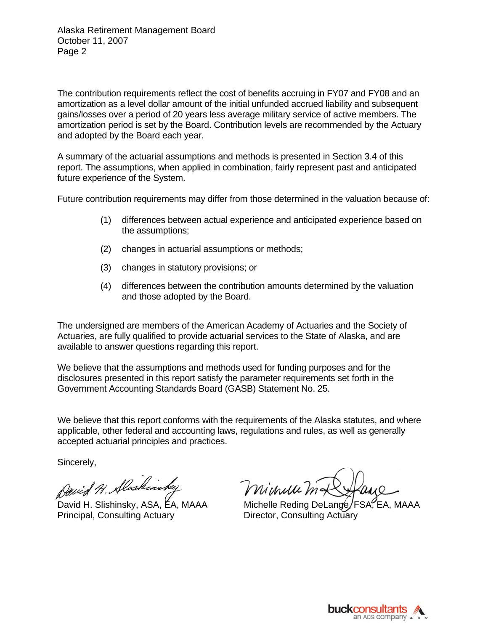The contribution requirements reflect the cost of benefits accruing in FY07 and FY08 and an amortization as a level dollar amount of the initial unfunded accrued liability and subsequent gains/losses over a period of 20 years less average military service of active members. The amortization period is set by the Board. Contribution levels are recommended by the Actuary and adopted by the Board each year.

A summary of the actuarial assumptions and methods is presented in Section 3.4 of this report. The assumptions, when applied in combination, fairly represent past and anticipated future experience of the System.

Future contribution requirements may differ from those determined in the valuation because of:

- (1) differences between actual experience and anticipated experience based on the assumptions;
- (2) changes in actuarial assumptions or methods;
- (3) changes in statutory provisions; or
- (4) differences between the contribution amounts determined by the valuation and those adopted by the Board.

The undersigned are members of the American Academy of Actuaries and the Society of Actuaries, are fully qualified to provide actuarial services to the State of Alaska, and are available to answer questions regarding this report.

We believe that the assumptions and methods used for funding purposes and for the disclosures presented in this report satisfy the parameter requirements set forth in the Government Accounting Standards Board (GASB) Statement No. 25.

We believe that this report conforms with the requirements of the Alaska statutes, and where applicable, other federal and accounting laws, regulations and rules, as well as generally accepted actuarial principles and practices.

Sincerely,

David H. Slaskinsk

Principal, Consulting Actuary **Director, Consulting Actuary** 

Michelle M

David H. Slishinsky, ASA, EA, MAAA Michelle Reding DeLange, FSA, EA, MAAA

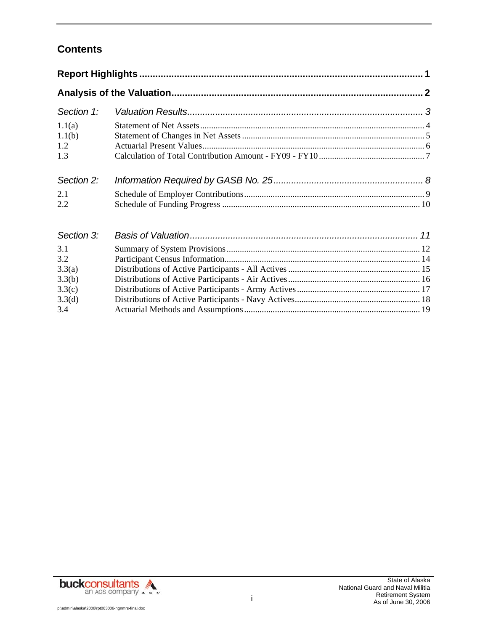# **Contents**

| Section 1:                     |  |
|--------------------------------|--|
| 1.1(a)<br>1.1(b)<br>1.2<br>1.3 |  |
| Section 2:                     |  |
| 2.1<br>2.2                     |  |
| Section 3:                     |  |
| 3.1<br>3.2                     |  |
| 3.3(a)<br>3.3(b)<br>3.3(c)     |  |
| 3.3(d)<br>3.4                  |  |

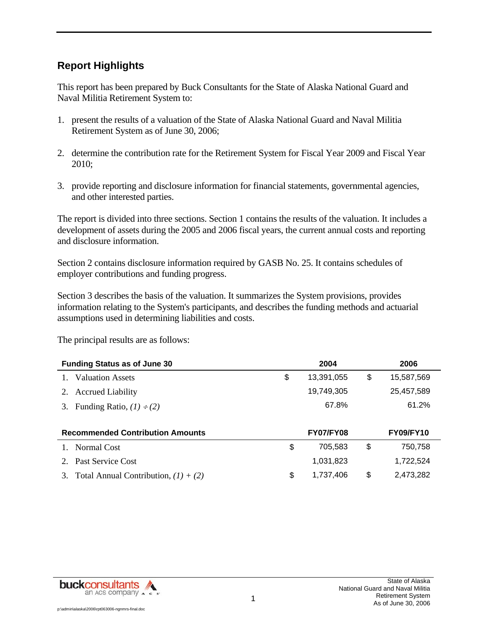# **Report Highlights**

This report has been prepared by Buck Consultants for the State of Alaska National Guard and Naval Militia Retirement System to:

- 1. present the results of a valuation of the State of Alaska National Guard and Naval Militia Retirement System as of June 30, 2006;
- 2. determine the contribution rate for the Retirement System for Fiscal Year 2009 and Fiscal Year 2010;
- 3. provide reporting and disclosure information for financial statements, governmental agencies, and other interested parties.

The report is divided into three sections. Section 1 contains the results of the valuation. It includes a development of assets during the 2005 and 2006 fiscal years, the current annual costs and reporting and disclosure information.

Section 2 contains disclosure information required by GASB No. 25. It contains schedules of employer contributions and funding progress.

Section 3 describes the basis of the valuation. It summarizes the System provisions, provides information relating to the System's participants, and describes the funding methods and actuarial assumptions used in determining liabilities and costs.

The principal results are as follows:

| <b>Funding Status as of June 30</b>     | 2004             | 2006             |  |
|-----------------------------------------|------------------|------------------|--|
| <b>Valuation Assets</b>                 | \$<br>13,391,055 | \$<br>15,587,569 |  |
| <b>Accrued Liability</b><br>2.          | 19,749,305       | 25,457,589       |  |
| Funding Ratio, $(1) \div (2)$<br>3.     | 67.8%            | 61.2%            |  |
|                                         |                  |                  |  |
| <b>Recommended Contribution Amounts</b> | <b>FY07/FY08</b> | <b>FY09/FY10</b> |  |
| Normal Cost                             | \$<br>705,583    | \$<br>750,758    |  |
| <b>Past Service Cost</b><br>$2^{\circ}$ | 1,031,823        | 1,722,524        |  |
|                                         |                  |                  |  |

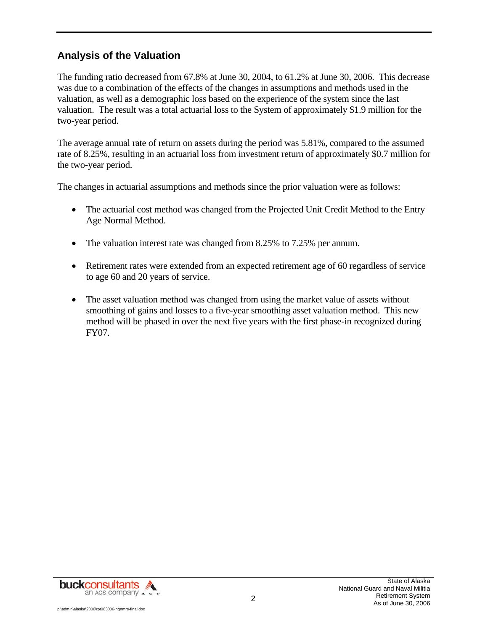### **Analysis of the Valuation**

The funding ratio decreased from 67.8% at June 30, 2004, to 61.2% at June 30, 2006. This decrease was due to a combination of the effects of the changes in assumptions and methods used in the valuation, as well as a demographic loss based on the experience of the system since the last valuation. The result was a total actuarial loss to the System of approximately \$1.9 million for the two-year period.

The average annual rate of return on assets during the period was 5.81%, compared to the assumed rate of 8.25%, resulting in an actuarial loss from investment return of approximately \$0.7 million for the two-year period.

The changes in actuarial assumptions and methods since the prior valuation were as follows:

- The actuarial cost method was changed from the Projected Unit Credit Method to the Entry Age Normal Method.
- The valuation interest rate was changed from 8.25% to 7.25% per annum.
- Retirement rates were extended from an expected retirement age of 60 regardless of service to age 60 and 20 years of service.
- The asset valuation method was changed from using the market value of assets without smoothing of gains and losses to a five-year smoothing asset valuation method. This new method will be phased in over the next five years with the first phase-in recognized during FY07.



p:\admin\alaska\2006\rpt063006-ngnmrs-final.doc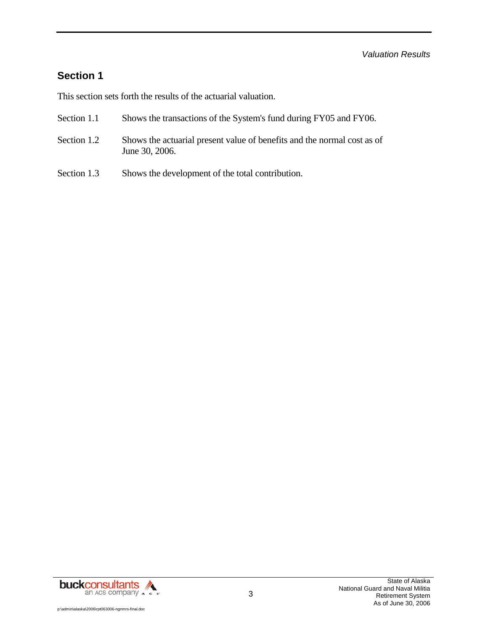### **Section 1**

This section sets forth the results of the actuarial valuation.

- Section 1.1 Shows the transactions of the System's fund during FY05 and FY06.
- Section 1.2 Shows the actuarial present value of benefits and the normal cost as of June 30, 2006.
- Section 1.3 Shows the development of the total contribution.

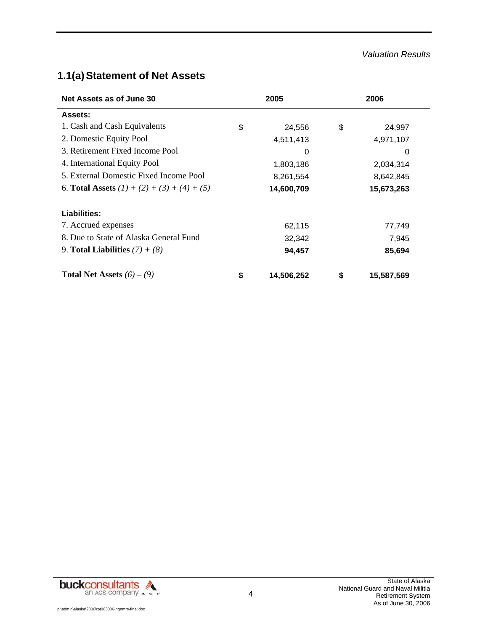#### *Valuation Results*

# **1.1(a) Statement of Net Assets**

| Net Assets as of June 30                      | 2005             | 2006 |            |  |
|-----------------------------------------------|------------------|------|------------|--|
| Assets:                                       |                  |      |            |  |
| 1. Cash and Cash Equivalents                  | \$<br>24,556     | \$   | 24,997     |  |
| 2. Domestic Equity Pool                       | 4,511,413        |      | 4,971,107  |  |
| 3. Retirement Fixed Income Pool               | 0                |      | 0          |  |
| 4. International Equity Pool                  | 1,803,186        |      | 2,034,314  |  |
| 5. External Domestic Fixed Income Pool        | 8,261,554        |      | 8,642,845  |  |
| 6. Total Assets $(1) + (2) + (3) + (4) + (5)$ | 14,600,709       |      | 15,673,263 |  |
| Liabilities:                                  |                  |      |            |  |
| 7. Accrued expenses                           | 62,115           |      | 77,749     |  |
| 8. Due to State of Alaska General Fund        | 32,342           |      | 7,945      |  |
| 9. Total Liabilities $(7) + (8)$              | 94,457           |      | 85,694     |  |
| <b>Total Net Assets</b> $(6) - (9)$           | \$<br>14,506,252 | \$   | 15,587,569 |  |

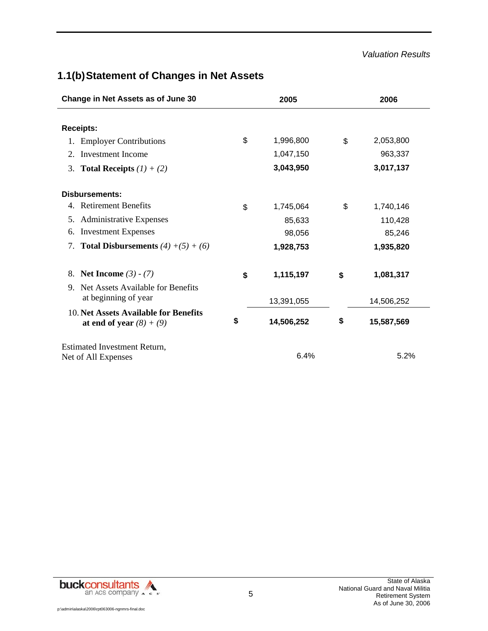#### *Valuation Results*

# **1.1(b) Statement of Changes in Net Assets**

| Change in Net Assets as of June 30                                  | 2005             | 2006             |  |  |
|---------------------------------------------------------------------|------------------|------------------|--|--|
|                                                                     |                  |                  |  |  |
| <b>Receipts:</b>                                                    |                  |                  |  |  |
| <b>Employer Contributions</b>                                       | \$<br>1,996,800  | \$<br>2,053,800  |  |  |
| Investment Income<br>2.                                             | 1,047,150        | 963,337          |  |  |
| 3. Total Receipts $(1) + (2)$                                       | 3,043,950        | 3,017,137        |  |  |
| <b>Disbursements:</b>                                               |                  |                  |  |  |
| 4. Retirement Benefits                                              | \$<br>1,745,064  | \$<br>1,740,146  |  |  |
| 5. Administrative Expenses                                          | 85,633           | 110,428          |  |  |
| <b>Investment Expenses</b><br>6.                                    | 98,056           | 85,246           |  |  |
| <b>Total Disbursements</b> $(4) + (5) + (6)$<br>7.                  | 1,928,753        | 1,935,820        |  |  |
| 8. Net Income $(3) - (7)$                                           | \$<br>1,115,197  | \$<br>1,081,317  |  |  |
| Net Assets Available for Benefits<br>9.<br>at beginning of year     | 13,391,055       | 14,506,252       |  |  |
| 10. Net Assets Available for Benefits<br>at end of year $(8) + (9)$ | \$<br>14,506,252 | \$<br>15,587,569 |  |  |
| Estimated Investment Return,<br>Net of All Expenses                 | 6.4%             | 5.2%             |  |  |

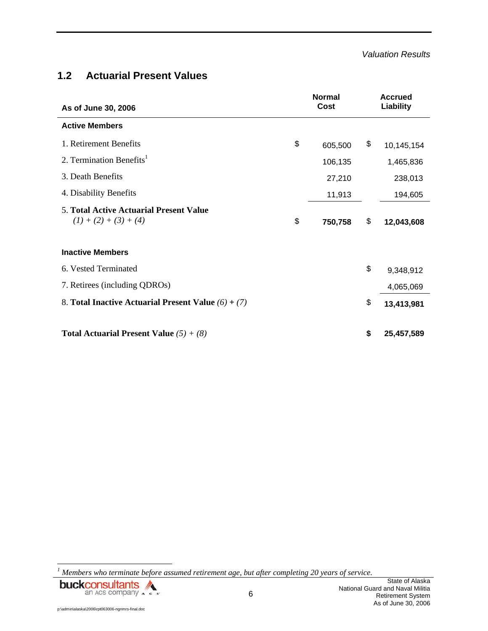### **1.2 Actuarial Present Values**

| As of June 30, 2006                                                       | <b>Normal</b><br>Cost | <b>Accrued</b><br>Liability |
|---------------------------------------------------------------------------|-----------------------|-----------------------------|
| <b>Active Members</b>                                                     |                       |                             |
| 1. Retirement Benefits                                                    | \$<br>605,500         | \$<br>10,145,154            |
| 2. Termination Benefits <sup>1</sup>                                      | 106,135               | 1,465,836                   |
| 3. Death Benefits                                                         | 27,210                | 238,013                     |
| 4. Disability Benefits                                                    | 11,913                | 194,605                     |
| <b>5. Total Active Actuarial Present Value</b><br>$(1) + (2) + (3) + (4)$ | \$<br>750,758         | \$<br>12,043,608            |
| <b>Inactive Members</b>                                                   |                       |                             |
| 6. Vested Terminated                                                      |                       | \$<br>9,348,912             |
| 7. Retirees (including QDROs)                                             |                       | 4,065,069                   |
| 8. Total Inactive Actuarial Present Value $(6) + (7)$                     |                       | \$<br>13,413,981            |
| <b>Total Actuarial Present Value</b> $(5) + (8)$                          |                       | \$<br>25,457,589            |

<sup>&</sup>lt;sup>1</sup> Members who terminate before assumed retirement age, but after completing 20 years of service.



l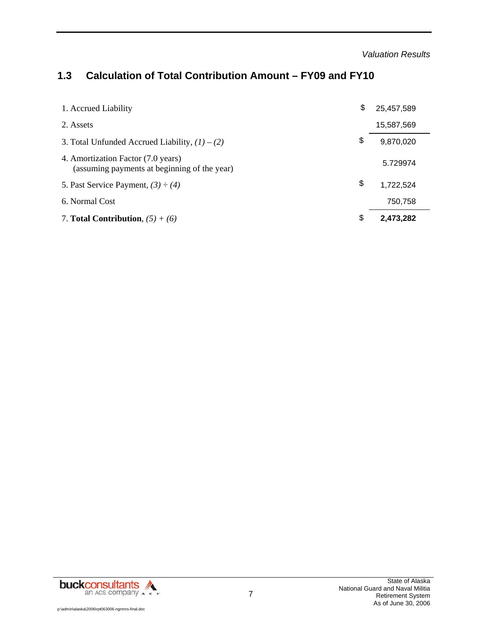*Valuation Results* 

# **1.3 Calculation of Total Contribution Amount – FY09 and FY10**

| 1. Accrued Liability                                                               | \$<br>25,457,589 |
|------------------------------------------------------------------------------------|------------------|
| 2. Assets                                                                          | 15,587,569       |
| 3. Total Unfunded Accrued Liability, $(1) - (2)$                                   | \$<br>9,870,020  |
| 4. Amortization Factor (7.0 years)<br>(assuming payments at beginning of the year) | 5.729974         |
| 5. Past Service Payment, $(3) \div (4)$                                            | \$<br>1,722,524  |
| 6. Normal Cost                                                                     | 750,758          |
| 7. Total Contribution, $(5) + (6)$                                                 | \$<br>2,473,282  |

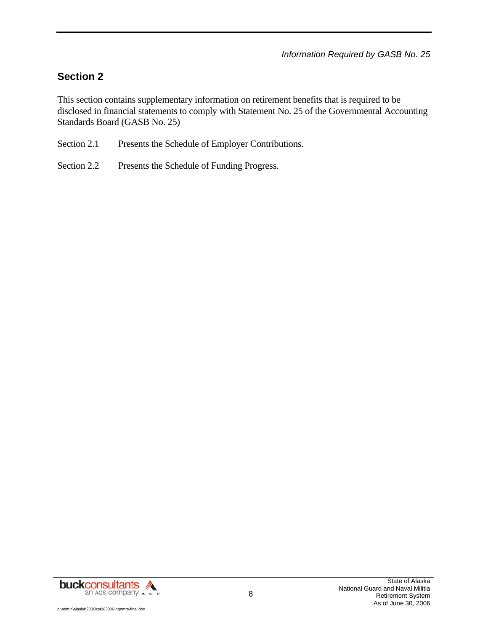# **Section 2**

This section contains supplementary information on retirement benefits that is required to be disclosed in financial statements to comply with Statement No. 25 of the Governmental Accounting Standards Board (GASB No. 25)

- Section 2.1 Presents the Schedule of Employer Contributions.
- Section 2.2 Presents the Schedule of Funding Progress.

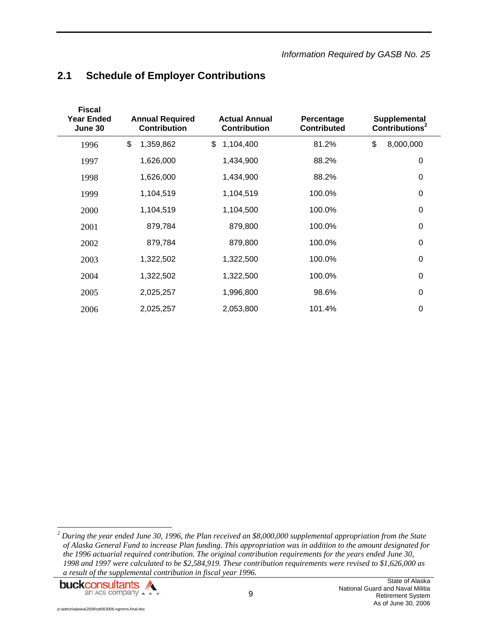# **2.1 Schedule of Employer Contributions**

| <b>Fiscal</b><br><b>Year Ended</b><br>June 30 | <b>Annual Required</b><br><b>Contribution</b> | <b>Actual Annual</b><br><b>Contribution</b> | Percentage<br><b>Contributed</b> |    | Supplemental<br>Contributions <sup>2</sup> |  |
|-----------------------------------------------|-----------------------------------------------|---------------------------------------------|----------------------------------|----|--------------------------------------------|--|
| 1996                                          | \$<br>1,359,862                               | \$<br>1,104,400                             | 81.2%                            | \$ | 8,000,000                                  |  |
| 1997                                          | 1,626,000                                     | 1,434,900                                   | 88.2%                            |    | $\mathbf 0$                                |  |
| 1998                                          | 1,626,000                                     | 1,434,900                                   | 88.2%                            |    | 0                                          |  |
| 1999                                          | 1,104,519                                     | 1,104,519                                   | 100.0%                           |    | $\mathbf 0$                                |  |
| 2000                                          | 1,104,519                                     | 1,104,500                                   | 100.0%                           |    | $\mathbf 0$                                |  |
| 2001                                          | 879,784                                       | 879,800                                     | 100.0%                           |    | 0                                          |  |
| 2002                                          | 879,784                                       | 879,800                                     | 100.0%                           |    | 0                                          |  |
| 2003                                          | 1,322,502                                     | 1,322,500                                   | 100.0%                           |    | 0                                          |  |
| 2004                                          | 1,322,502                                     | 1,322,500                                   | 100.0%                           |    | 0                                          |  |
| 2005                                          | 2,025,257                                     | 1,996,800                                   | 98.6%                            |    | $\Omega$                                   |  |
| 2006                                          | 2,025,257                                     | 2,053,800                                   | 101.4%                           |    | 0                                          |  |

 *2 During the year ended June 30, 1996, the Plan received an \$8,000,000 supplemental appropriation from the State of Alaska General Fund to increase Plan funding. This appropriation was in addition to the amount designated for the 1996 actuarial required contribution. The original contribution requirements for the years ended June 30, 1998 and 1997 were calculated to be \$2,584,919. These contribution requirements were revised to \$1,626,000 as a result of the supplemental contribution in fiscal year 1996.* 

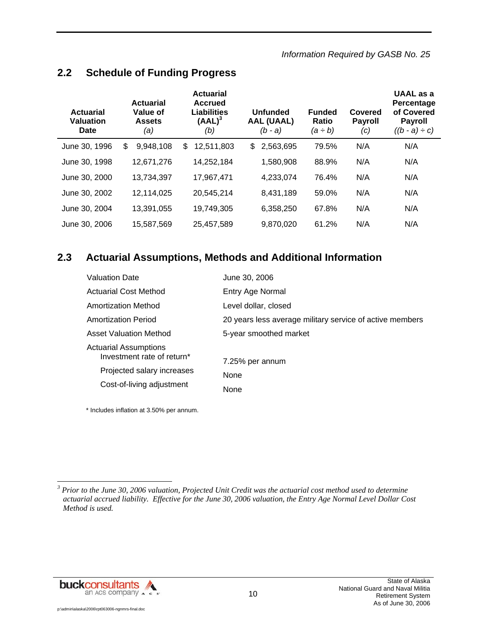### **2.2 Schedule of Funding Progress**

| <b>Actuarial</b><br><b>Valuation</b><br>Date | <b>Actuarial</b><br>Value of<br><b>Assets</b><br>(a) | <b>Actuarial</b><br><b>Accrued</b><br><b>Liabilities</b><br>$(AAL)^3$<br>(b) | Unfunded<br><b>AAL (UAAL)</b><br>$(b - a)$ | <b>Funded</b><br>Ratio<br>$(a \div b)$ | Covered<br><b>Payroll</b><br>(c) | UAAL as a<br>Percentage<br>of Covered<br><b>Payroll</b><br>$((b - a) \div c)$ |
|----------------------------------------------|------------------------------------------------------|------------------------------------------------------------------------------|--------------------------------------------|----------------------------------------|----------------------------------|-------------------------------------------------------------------------------|
| June 30, 1996                                | \$<br>9,948,108                                      | 12,511,803<br>\$                                                             | \$<br>2,563,695                            | 79.5%                                  | N/A                              | N/A                                                                           |
| June 30, 1998                                | 12,671,276                                           | 14,252,184                                                                   | 1,580,908                                  | 88.9%                                  | N/A                              | N/A                                                                           |
| June 30, 2000                                | 13,734,397                                           | 17.967.471                                                                   | 4,233,074                                  | 76.4%                                  | N/A                              | N/A                                                                           |
| June 30, 2002                                | 12,114,025                                           | 20,545,214                                                                   | 8,431,189                                  | 59.0%                                  | N/A                              | N/A                                                                           |
| June 30, 2004                                | 13,391,055                                           | 19,749,305                                                                   | 6,358,250                                  | 67.8%                                  | N/A                              | N/A                                                                           |
| June 30, 2006                                | 15.587.569                                           | 25.457.589                                                                   | 9,870,020                                  | 61.2%                                  | N/A                              | N/A                                                                           |

### **2.3 Actuarial Assumptions, Methods and Additional Information**

| <b>Valuation Date</b>                                      | June 30, 2006                                            |
|------------------------------------------------------------|----------------------------------------------------------|
| <b>Actuarial Cost Method</b>                               | Entry Age Normal                                         |
| <b>Amortization Method</b>                                 | Level dollar, closed                                     |
| <b>Amortization Period</b>                                 | 20 years less average military service of active members |
| <b>Asset Valuation Method</b>                              | 5-year smoothed market                                   |
| <b>Actuarial Assumptions</b><br>Investment rate of return* | 7.25% per annum                                          |
| Projected salary increases                                 | <b>None</b>                                              |
| Cost-of-living adjustment                                  | None                                                     |

\* Includes inflation at 3.50% per annum.



<sup>&</sup>lt;sup>3</sup><br><sup>3</sup> Prior to the June 30, 2006 valuation, Projected Unit Credit was the actuarial cost method used to determine *actuarial accrued liability. Effective for the June 30, 2006 valuation, the Entry Age Normal Level Dollar Cost Method is used.*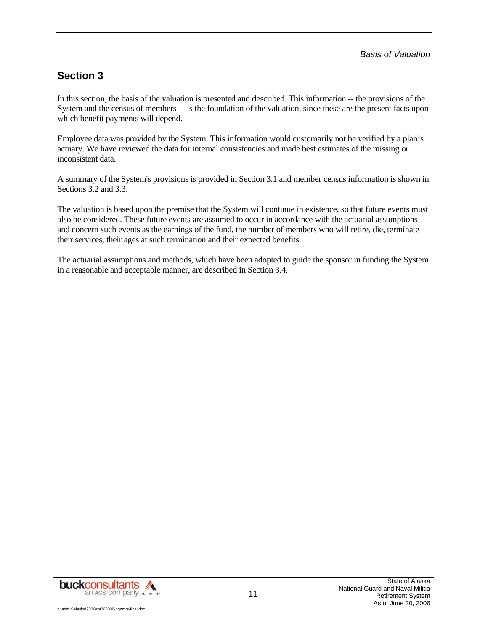### **Section 3**

In this section, the basis of the valuation is presented and described. This information -- the provisions of the System and the census of members – is the foundation of the valuation, since these are the present facts upon which benefit payments will depend.

Employee data was provided by the System. This information would customarily not be verified by a plan's actuary. We have reviewed the data for internal consistencies and made best estimates of the missing or inconsistent data.

A summary of the System's provisions is provided in Section 3.1 and member census information is shown in Sections 3.2 and 3.3.

The valuation is based upon the premise that the System will continue in existence, so that future events must also be considered. These future events are assumed to occur in accordance with the actuarial assumptions and concern such events as the earnings of the fund, the number of members who will retire, die, terminate their services, their ages at such termination and their expected benefits.

The actuarial assumptions and methods, which have been adopted to guide the sponsor in funding the System in a reasonable and acceptable manner, are described in Section 3.4.

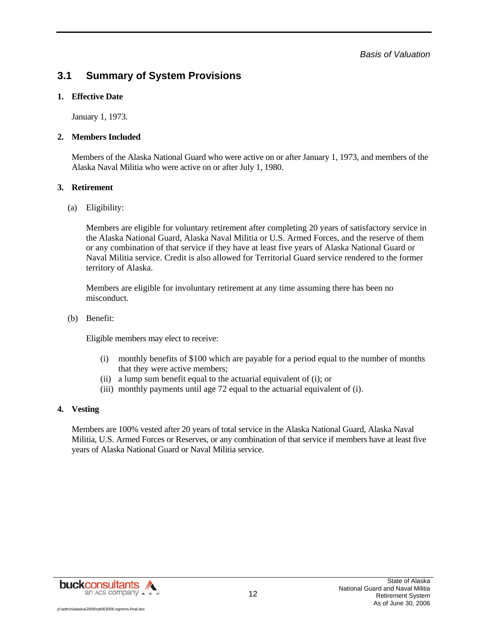*Basis of Valuation* 

### **3.1 Summary of System Provisions**

#### **1. Effective Date**

January 1, 1973.

#### **2. Members Included**

Members of the Alaska National Guard who were active on or after January 1, 1973, and members of the Alaska Naval Militia who were active on or after July 1, 1980.

#### **3. Retirement**

(a) Eligibility:

Members are eligible for voluntary retirement after completing 20 years of satisfactory service in the Alaska National Guard, Alaska Naval Militia or U.S. Armed Forces, and the reserve of them or any combination of that service if they have at least five years of Alaska National Guard or Naval Militia service. Credit is also allowed for Territorial Guard service rendered to the former territory of Alaska.

Members are eligible for involuntary retirement at any time assuming there has been no misconduct.

(b) Benefit:

Eligible members may elect to receive:

- (i) monthly benefits of \$100 which are payable for a period equal to the number of months that they were active members;
- (ii) a lump sum benefit equal to the actuarial equivalent of (i); or
- (iii) monthly payments until age 72 equal to the actuarial equivalent of (i).

#### **4. Vesting**

Members are 100% vested after 20 years of total service in the Alaska National Guard, Alaska Naval Militia, U.S. Armed Forces or Reserves, or any combination of that service if members have at least five years of Alaska National Guard or Naval Militia service.



12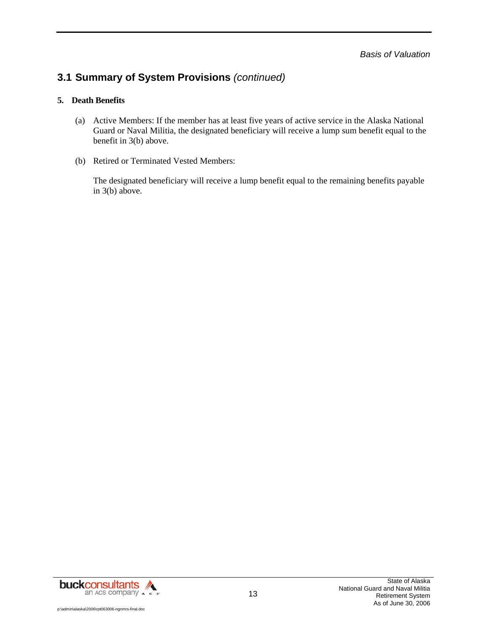## **3.1 Summary of System Provisions** *(continued)*

#### **5. Death Benefits**

- (a) Active Members: If the member has at least five years of active service in the Alaska National Guard or Naval Militia, the designated beneficiary will receive a lump sum benefit equal to the benefit in 3(b) above.
- (b) Retired or Terminated Vested Members:

The designated beneficiary will receive a lump benefit equal to the remaining benefits payable in 3(b) above.

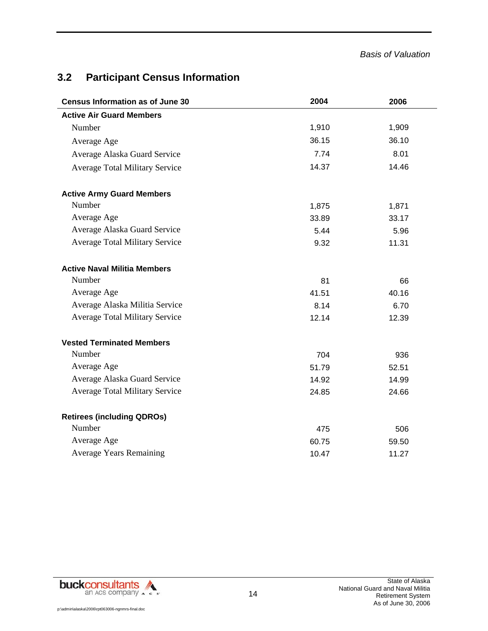# **3.2 Participant Census Information**

| <b>Census Information as of June 30</b> | 2004  | 2006  |
|-----------------------------------------|-------|-------|
| <b>Active Air Guard Members</b>         |       |       |
| Number                                  | 1,910 | 1,909 |
| Average Age                             | 36.15 | 36.10 |
| Average Alaska Guard Service            | 7.74  | 8.01  |
| <b>Average Total Military Service</b>   | 14.37 | 14.46 |
| <b>Active Army Guard Members</b>        |       |       |
| Number                                  | 1,875 | 1,871 |
| Average Age                             | 33.89 | 33.17 |
| Average Alaska Guard Service            | 5.44  | 5.96  |
| <b>Average Total Military Service</b>   | 9.32  | 11.31 |
| <b>Active Naval Militia Members</b>     |       |       |
| Number                                  | 81    | 66    |
| Average Age                             | 41.51 | 40.16 |
| Average Alaska Militia Service          | 8.14  | 6.70  |
| <b>Average Total Military Service</b>   | 12.14 | 12.39 |
| <b>Vested Terminated Members</b>        |       |       |
| Number                                  | 704   | 936   |
| Average Age                             | 51.79 | 52.51 |
| Average Alaska Guard Service            | 14.92 | 14.99 |
| <b>Average Total Military Service</b>   | 24.85 | 24.66 |
| <b>Retirees (including QDROs)</b>       |       |       |
| Number                                  | 475   | 506   |
| Average Age                             | 60.75 | 59.50 |
| <b>Average Years Remaining</b>          | 10.47 | 11.27 |

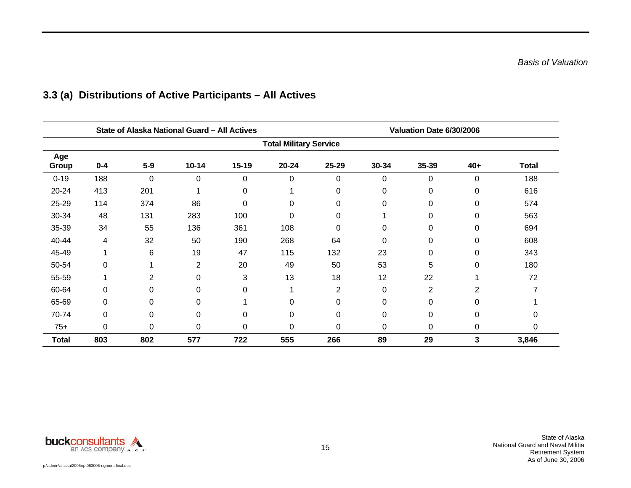|              |         |                | State of Alaska National Guard - All Actives |           |                               | Valuation Date 6/30/2006 |          |                |          |              |
|--------------|---------|----------------|----------------------------------------------|-----------|-------------------------------|--------------------------|----------|----------------|----------|--------------|
|              |         |                |                                              |           | <b>Total Military Service</b> |                          |          |                |          |              |
| Age<br>Group | $0 - 4$ | $5-9$          | $10 - 14$                                    | $15 - 19$ | 20-24                         | 25-29                    | 30-34    | 35-39          | $40+$    | <b>Total</b> |
| $0 - 19$     | 188     | $\overline{0}$ | 0                                            | $\Omega$  | $\overline{0}$                | $\Omega$                 | 0        | 0              | $\Omega$ | 188          |
| 20-24        | 413     | 201            | ◢                                            | 0         |                               | 0                        | 0        | 0              | 0        | 616          |
| 25-29        | 114     | 374            | 86                                           | 0         | 0                             | 0                        | 0        | 0              | $\Omega$ | 574          |
| 30-34        | 48      | 131            | 283                                          | 100       | 0                             | 0                        |          | 0              | 0        | 563          |
| 35-39        | 34      | 55             | 136                                          | 361       | 108                           | 0                        | 0        | 0              | 0        | 694          |
| 40-44        | 4       | 32             | 50                                           | 190       | 268                           | 64                       | 0        | 0              | 0        | 608          |
| 45-49        | 1       | 6              | 19                                           | 47        | 115                           | 132                      | 23       | 0              | 0        | 343          |
| 50-54        | 0       |                | $\overline{2}$                               | 20        | 49                            | 50                       | 53       | 5              | 0        | 180          |
| 55-59        | 1       | 2              | 0                                            | 3         | 13                            | 18                       | 12       | 22             |          | 72           |
| 60-64        | 0       | $\Omega$       | 0                                            | $\Omega$  |                               | 2                        | $\Omega$ | $\overline{2}$ | 2        |              |
| 65-69        | 0       | $\Omega$       | 0                                            |           | 0                             | $\Omega$                 | 0        | 0              | 0        |              |
| 70-74        | 0       | $\Omega$       | 0                                            | 0         | 0                             | 0                        | 0        | 0              | $\Omega$ | 0            |
| $75+$        | 0       | $\Omega$       | 0                                            | 0         | 0                             | 0                        | 0        | 0              | 0        | $\Omega$     |
| <b>Total</b> | 803     | 802            | 577                                          | 722       | 555                           | 266                      | 89       | 29             | 3        | 3,846        |

# **3.3 (a) Distributions of Active Participants – All Actives**

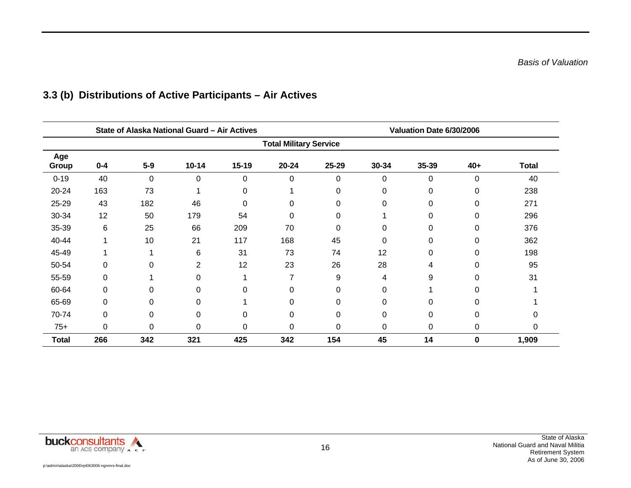|              |         |          | State of Alaska National Guard - Air Actives |           |                               | Valuation Date 6/30/2006 |          |       |          |              |
|--------------|---------|----------|----------------------------------------------|-----------|-------------------------------|--------------------------|----------|-------|----------|--------------|
|              |         |          |                                              |           | <b>Total Military Service</b> |                          |          |       |          |              |
| Age<br>Group | $0 - 4$ | $5-9$    | $10 - 14$                                    | $15 - 19$ | $20 - 24$                     | 25-29                    | 30-34    | 35-39 | $40+$    | <b>Total</b> |
| $0 - 19$     | 40      | $\Omega$ | 0                                            | $\Omega$  | 0                             | $\Omega$                 | $\Omega$ | 0     | $\Omega$ | 40           |
| 20-24        | 163     | 73       | 4                                            | 0         |                               | $\Omega$                 | 0        | 0     | 0        | 238          |
| 25-29        | 43      | 182      | 46                                           | 0         | 0                             | $\Omega$                 | 0        | 0     | $\Omega$ | 271          |
| 30-34        | 12      | 50       | 179                                          | 54        | 0                             | 0                        |          | 0     | 0        | 296          |
| 35-39        | 6       | 25       | 66                                           | 209       | 70                            | 0                        | 0        | 0     | 0        | 376          |
| 40-44        |         | 10       | 21                                           | 117       | 168                           | 45                       | 0        | 0     | 0        | 362          |
| 45-49        |         |          | 6                                            | 31        | 73                            | 74                       | 12       | 0     | 0        | 198          |
| 50-54        | 0       | 0        | 2                                            | 12        | 23                            | 26                       | 28       | 4     | 0        | 95           |
| 55-59        | 0       |          | 0                                            |           | 7                             | 9                        | 4        | 9     | $\Omega$ | 31           |
| 60-64        | 0       | 0        | 0                                            | 0         | 0                             | 0                        | 0        |       | 0        |              |
| 65-69        | 0       | 0        | 0                                            |           | 0                             | 0                        | 0        | 0     | 0        |              |
| 70-74        | 0       | 0        | 0                                            | 0         | 0                             | $\Omega$                 | 0        | 0     | $\Omega$ |              |
| $75+$        | 0       | $\Omega$ | 0                                            | 0         | 0                             | $\Omega$                 | 0        | 0     | 0        | 0            |
| <b>Total</b> | 266     | 342      | 321                                          | 425       | 342                           | 154                      | 45       | 14    | 0        | 1,909        |

# **3.3 (b) Distributions of Active Participants – Air Actives**

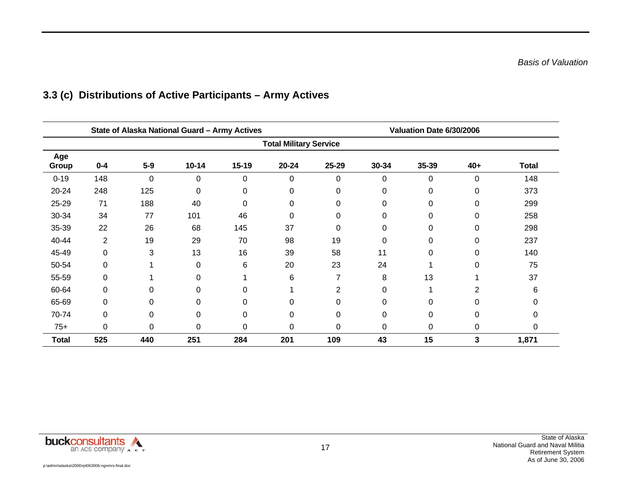|                               | State of Alaska National Guard - Army Actives |          |             |           |             |       | Valuation Date 6/30/2006 |       |             |              |  |
|-------------------------------|-----------------------------------------------|----------|-------------|-----------|-------------|-------|--------------------------|-------|-------------|--------------|--|
| <b>Total Military Service</b> |                                               |          |             |           |             |       |                          |       |             |              |  |
| Age<br>Group                  | $0 - 4$                                       | $5-9$    | $10 - 14$   | $15 - 19$ | 20-24       | 25-29 | 30-34                    | 35-39 | $40+$       | <b>Total</b> |  |
| $0 - 19$                      | 148                                           | 0        | 0           | 0         | 0           | 0     | 0                        | 0     | $\Omega$    | 148          |  |
| 20-24                         | 248                                           | 125      | $\mathbf 0$ | $\Omega$  | 0           | 0     | 0                        | 0     | $\Omega$    | 373          |  |
| 25-29                         | 71                                            | 188      | 40          | 0         | 0           | 0     | 0                        | 0     | 0           | 299          |  |
| 30-34                         | 34                                            | 77       | 101         | 46        | 0           | 0     | 0                        | 0     | $\mathbf 0$ | 258          |  |
| 35-39                         | 22                                            | 26       | 68          | 145       | 37          | 0     | 0                        | 0     | 0           | 298          |  |
| 40-44                         | 2                                             | 19       | 29          | 70        | 98          | 19    | 0                        | 0     | $\mathbf 0$ | 237          |  |
| 45-49                         | 0                                             | 3        | 13          | 16        | 39          | 58    | 11                       | 0     | $\mathbf 0$ | 140          |  |
| 50-54                         | 0                                             |          | 0           | 6         | 20          | 23    | 24                       |       | $\Omega$    | 75           |  |
| 55-59                         | 0                                             |          | 0           |           | 6           | 7     | 8                        | 13    |             | 37           |  |
| 60-64                         | 0                                             | $\Omega$ | 0           | $\Omega$  |             | 2     | 0                        | 1     | 2           | 6            |  |
| 65-69                         | 0                                             | $\Omega$ | 0           | $\Omega$  | 0           | 0     | 0                        | 0     | 0           | 0            |  |
| 70-74                         | 0                                             | $\Omega$ | 0           | 0         | $\mathbf 0$ | 0     | 0                        | 0     | $\Omega$    | 0            |  |
| $75+$                         | 0                                             | $\Omega$ | 0           | $\Omega$  | 0           | 0     | $\Omega$                 | 0     | 0           | 0            |  |
| <b>Total</b>                  | 525                                           | 440      | 251         | 284       | 201         | 109   | 43                       | 15    | 3           | 1,871        |  |

# **3.3 (c) Distributions of Active Participants – Army Actives**

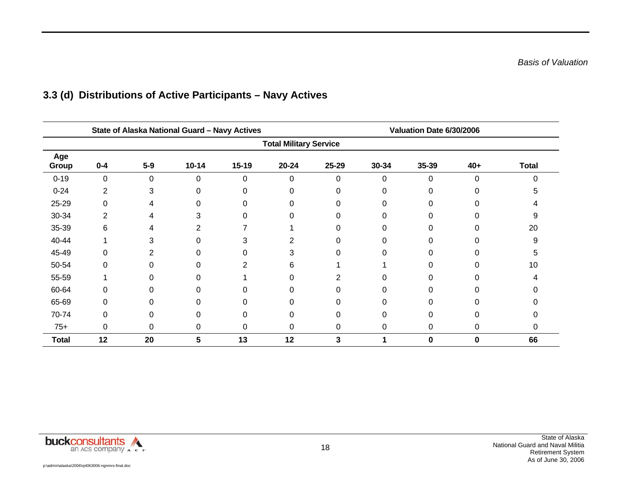|                               | State of Alaska National Guard - Navy Actives |          |           |           |           |          | Valuation Date 6/30/2006 |       |          |              |  |
|-------------------------------|-----------------------------------------------|----------|-----------|-----------|-----------|----------|--------------------------|-------|----------|--------------|--|
| <b>Total Military Service</b> |                                               |          |           |           |           |          |                          |       |          |              |  |
| Age<br>Group                  | $0 - 4$                                       | $5-9$    | $10 - 14$ | $15 - 19$ | $20 - 24$ | 25-29    | 30-34                    | 35-39 | $40+$    | <b>Total</b> |  |
| $0 - 19$                      | 0                                             | $\Omega$ | 0         | $\Omega$  | 0         | $\Omega$ | $\Omega$                 | 0     | $\Omega$ | n            |  |
| $0 - 24$                      | 2                                             | 3        | $\Omega$  | 0         | 0         | $\Omega$ | 0                        |       |          |              |  |
| 25-29                         | 0                                             | 4        | 0         | 0         | ი         | 0        | U                        |       |          |              |  |
| 30-34                         | 2                                             | 4        | 3         | 0         |           | 0        | 0                        |       |          |              |  |
| 35-39                         | 6                                             |          | 2         |           |           | 0        | 0                        |       |          | 20           |  |
| 40-44                         |                                               | 3        | 0         | 3         | 2         | 0        | 0                        |       |          | 9            |  |
| 45-49                         | 0                                             | 2        | ი         | 0         | 3         | 0        | 0                        |       |          |              |  |
| 50-54                         | 0                                             | $\Omega$ | ი         |           | 6         |          |                          |       |          | 10           |  |
| 55-59                         |                                               | 0        | 0         |           | 0         |          | 0                        |       |          |              |  |
| 60-64                         | 0                                             | 0        | $\Omega$  | 0         | 0         | 0        | 0                        |       |          |              |  |
| 65-69                         | 0                                             | $\Omega$ | $\Omega$  | 0         | 0         | 0        | 0                        |       |          |              |  |
| 70-74                         | 0                                             | $\Omega$ | 0         | 0         | 0         | $\Omega$ | 0                        |       |          |              |  |
| $75+$                         | 0                                             | $\Omega$ | 0         | 0         | 0         | $\Omega$ | 0                        | 0     | 0        | 0            |  |
| <b>Total</b>                  | 12                                            | 20       | 5         | 13        | 12        | 3        |                          | 0     | 0        | 66           |  |

# **3.3 (d) Distributions of Active Participants – Navy Actives**

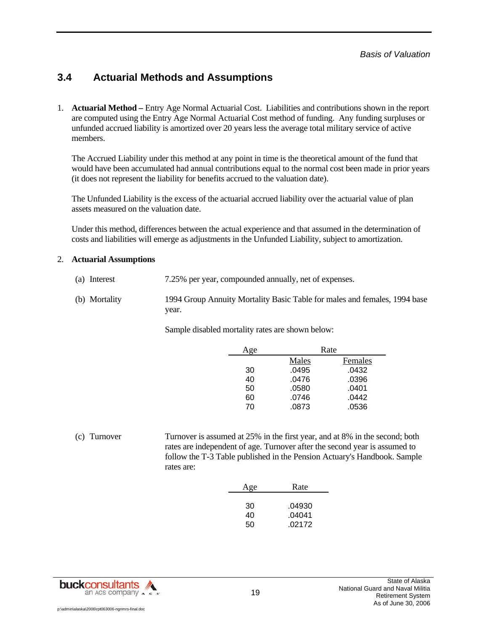### **3.4 Actuarial Methods and Assumptions**

1. **Actuarial Method –** Entry Age Normal Actuarial Cost. Liabilities and contributions shown in the report are computed using the Entry Age Normal Actuarial Cost method of funding. Any funding surpluses or unfunded accrued liability is amortized over 20 years less the average total military service of active members.

The Accrued Liability under this method at any point in time is the theoretical amount of the fund that would have been accumulated had annual contributions equal to the normal cost been made in prior years (it does not represent the liability for benefits accrued to the valuation date).

The Unfunded Liability is the excess of the actuarial accrued liability over the actuarial value of plan assets measured on the valuation date.

Under this method, differences between the actual experience and that assumed in the determination of costs and liabilities will emerge as adjustments in the Unfunded Liability, subject to amortization.

#### 2. **Actuarial Assumptions**

- (a) Interest 7.25% per year, compounded annually, net of expenses.
- (b) Mortality 1994 Group Annuity Mortality Basic Table for males and females, 1994 base year.

Sample disabled mortality rates are shown below:

| Age |       | Rate    |
|-----|-------|---------|
|     | Males | Females |
| 30  | .0495 | .0432   |
| 40  | .0476 | .0396   |
| 50  | .0580 | .0401   |
| 60  | .0746 | .0442   |
| 70  | .0873 | .0536   |

(c) Turnover Turnover is assumed at 25% in the first year, and at 8% in the second; both rates are independent of age. Turnover after the second year is assumed to follow the T-3 Table published in the Pension Actuary's Handbook. Sample rates are:

| Age | Rate   |
|-----|--------|
|     |        |
| 30  | .04930 |
| 40  | .04041 |
| 50  | .02172 |